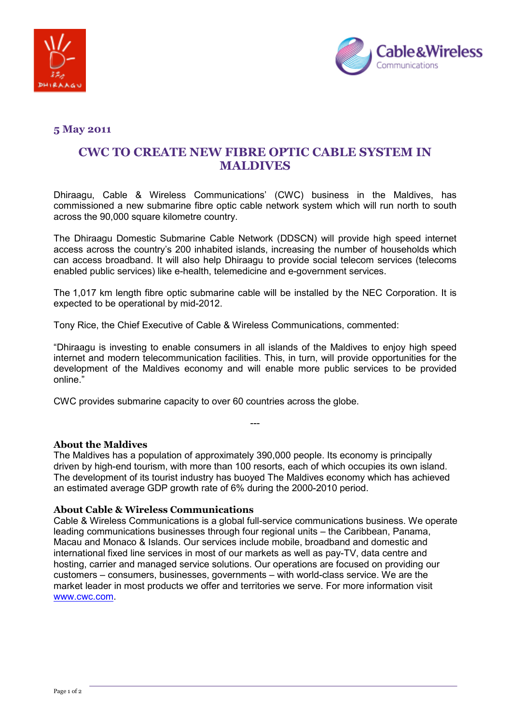



## **5 May 2011**

# **CWC TO CREATE NEW FIBRE OPTIC CABLE SYSTEM IN MALDIVES**

Dhiraagu, Cable & Wireless Communications' (CWC) business in the Maldives, has commissioned a new submarine fibre optic cable network system which will run north to south across the 90,000 square kilometre country.

The Dhiraagu Domestic Submarine Cable Network (DDSCN) will provide high speed internet access across the country's 200 inhabited islands, increasing the number of households which can access broadband. It will also help Dhiraagu to provide social telecom services (telecoms enabled public services) like e-health, telemedicine and e-government services.

The 1,017 km length fibre optic submarine cable will be installed by the NEC Corporation. It is expected to be operational by mid-2012.

Tony Rice, the Chief Executive of Cable & Wireless Communications, commented:

"Dhiraagu is investing to enable consumers in all islands of the Maldives to enjoy high speed internet and modern telecommunication facilities. This, in turn, will provide opportunities for the development of the Maldives economy and will enable more public services to be provided online."

CWC provides submarine capacity to over 60 countries across the globe.

#### **About the Maldives**

The Maldives has a population of approximately 390,000 people. Its economy is principally driven by high-end tourism, with more than 100 resorts, each of which occupies its own island. The development of its tourist industry has buoyed The Maldives economy which has achieved an estimated average GDP growth rate of 6% during the 2000-2010 period.

---

#### **About Cable & Wireless Communications**

Cable & Wireless Communications is a global full-service communications business. We operate leading communications businesses through four regional units – the Caribbean, Panama, Macau and Monaco & Islands. Our services include mobile, broadband and domestic and international fixed line services in most of our markets as well as pay-TV, data centre and hosting, carrier and managed service solutions. Our operations are focused on providing our customers – consumers, businesses, governments – with world-class service. We are the market leader in most products we offer and territories we serve. For more information visit www.cwc.com.